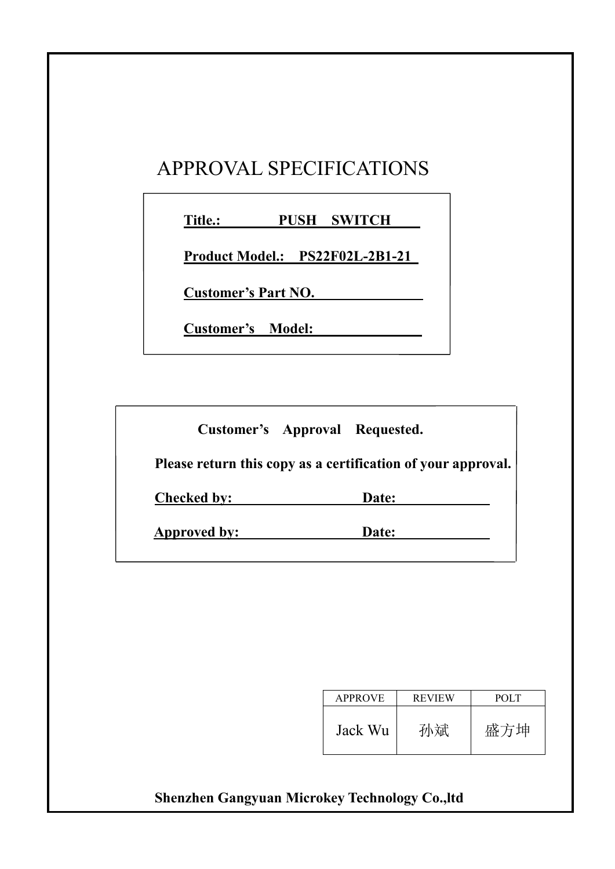#### APPROVAL SPECIFICATIONS

**Title.: PUSH SWITCH**

**Product Model.: PS22F02L-2B1-21**

**Customer's Part NO.**

**Customer's Model:**

**Customer's Approval Requested.**

**Please return this copy as a certification of your approval.**

**Checked by: Date:**

**Approved by: Date:**

| <b>APPROVE</b> | <b>REVIEW</b> | POLT |
|----------------|---------------|------|
| Jack Wu        | 孙斌            | 盛方坤  |

#### **Shenzhen Gangyuan Microkey Technology Co.,ltd**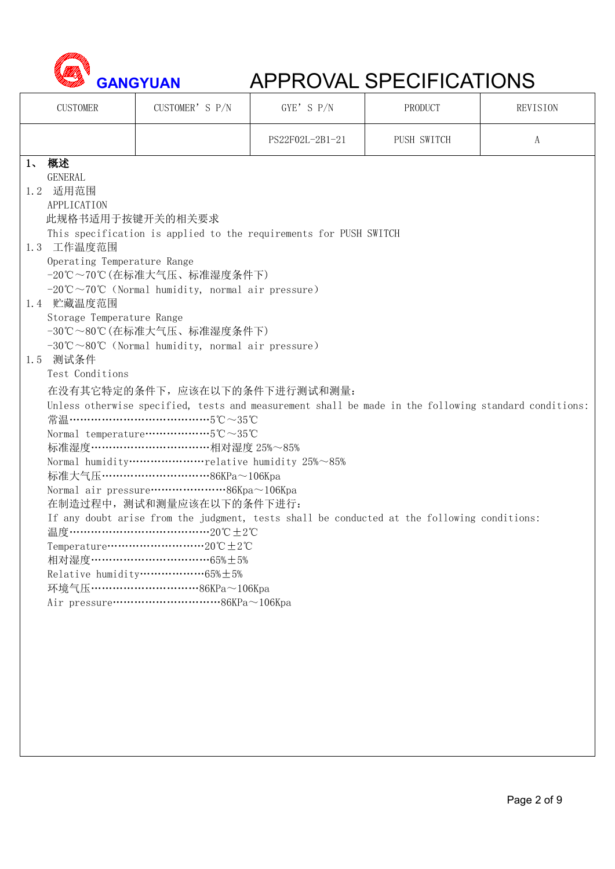

| <b>CUSTOMER</b>                                                                                                                                                                               | CUSTOMER'S P/N                                                                                                                                                                                                                                                                                                                                                                                                                                                                                                                                                                                                                                                                                                                                                                                                                                                                                                                                                                                                                                                                                                                                                                                                                                                               | GYE' S P/N      | PRODUCT     | REVISION |
|-----------------------------------------------------------------------------------------------------------------------------------------------------------------------------------------------|------------------------------------------------------------------------------------------------------------------------------------------------------------------------------------------------------------------------------------------------------------------------------------------------------------------------------------------------------------------------------------------------------------------------------------------------------------------------------------------------------------------------------------------------------------------------------------------------------------------------------------------------------------------------------------------------------------------------------------------------------------------------------------------------------------------------------------------------------------------------------------------------------------------------------------------------------------------------------------------------------------------------------------------------------------------------------------------------------------------------------------------------------------------------------------------------------------------------------------------------------------------------------|-----------------|-------------|----------|
|                                                                                                                                                                                               |                                                                                                                                                                                                                                                                                                                                                                                                                                                                                                                                                                                                                                                                                                                                                                                                                                                                                                                                                                                                                                                                                                                                                                                                                                                                              | PS22F02L-2B1-21 | PUSH SWITCH | A        |
| 1、 概述<br><b>GENERAL</b><br>1.2 适用范围<br>APPLICATION<br>此规格书适用于按键开关的相关要求<br>1.3 工作温度范围<br>Operating Temperature Range<br>1.4 贮藏温度范围<br>Storage Temperature Range<br>1.5 测试条件<br>Test Conditions | This specification is applied to the requirements for PUSH SWITCH<br>-20℃~70℃ (在标准大气压、标准湿度条件下)<br>$-20^{\circ}\text{C} \sim 70^{\circ}\text{C}$ (Normal humidity, normal air pressure)<br>-30℃~80℃ (在标准大气压、标准湿度条件下)<br>$-30^{\circ}\text{C} \sim 80^{\circ}\text{C}$ (Normal humidity, normal air pressure)<br>在没有其它特定的条件下,应该在以下的条件下进行测试和测量:<br>Unless otherwise specified, tests and measurement shall be made in the following standard conditions:<br>常温…………………………………………5℃~35℃<br>Normal temperature $\cdots \cdots \cdots \cdots \cdots \cdots 5^{\circ}\mathbb{C} \sim 35^{\circ}\mathbb{C}$<br>标准湿度 ………………………………相对湿度 25%~85%<br>Normal humidityrelative humidity 25%~85%<br>标准大气压………………………………86KPa~106Kpa<br>在制造过程中, 测试和测量应该在以下的条件下进行:<br>If any doubt arise from the judgment, tests shall be conducted at the following conditions:<br>温度………………………………………20℃±2℃<br>相对湿度………………………………65%±5%<br>环境气压…………………………………86KPa~106Kpa<br>Air pressure $\cdots$ $\cdots$ $\cdots$ $\cdots$ $\cdots$ $\cdots$ $\cdots$ $\cdots$ $\cdots$ $\cdots$ $\cdots$ $\cdots$ $\cdots$ $\cdots$ $\cdots$ $\cdots$ $\cdots$ $\cdots$ $\cdots$ $\cdots$ $\cdots$ $\cdots$ $\cdots$ $\cdots$ $\cdots$ $\cdots$ $\cdots$ $\cdots$ $\cdots$ $\cdots$ $\cdots$ $\cdots$ $\cdots$ $\cdots$ $\cdots$ |                 |             |          |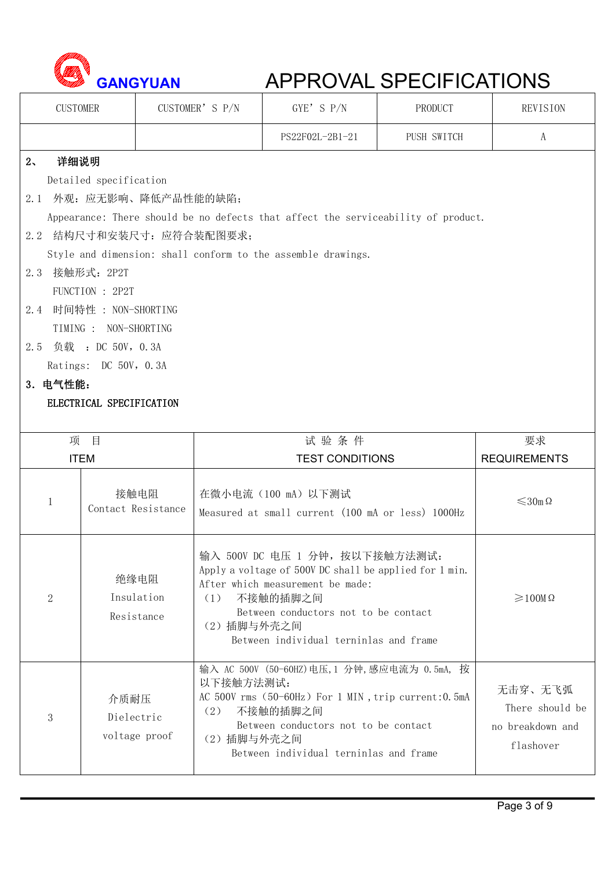

| <b>CUSTOMER</b> |                          | CUSTOMER'S P/N | GYE'S P/N                                                                         | PRODUCT     | REVISION                  |
|-----------------|--------------------------|----------------|-----------------------------------------------------------------------------------|-------------|---------------------------|
|                 |                          |                | PS22F02L-2B1-21                                                                   | PUSH SWITCH | A                         |
| 详细说明<br>$2\sim$ |                          |                |                                                                                   |             |                           |
|                 | Detailed specification   |                |                                                                                   |             |                           |
|                 | 2.1 外观: 应无影响、降低产品性能的缺陷;  |                |                                                                                   |             |                           |
|                 |                          |                | Appearance: There should be no defects that affect the serviceability of product. |             |                           |
|                 | 2.2 结构尺寸和安装尺寸: 应符合装配图要求; |                |                                                                                   |             |                           |
|                 |                          |                | Style and dimension: shall conform to the assemble drawings.                      |             |                           |
| 2.3 接触形式: 2P2T  |                          |                |                                                                                   |             |                           |
|                 | FUNCTION : 2P2T          |                |                                                                                   |             |                           |
|                 | 2.4 时间特性: NON-SHORTING   |                |                                                                                   |             |                           |
|                 | TIMING : NON-SHORTING    |                |                                                                                   |             |                           |
|                 | 2.5 负载: DC 50V, 0.3A     |                |                                                                                   |             |                           |
|                 | Ratings: DC 50V, 0.3A    |                |                                                                                   |             |                           |
| 3. 电气性能:        |                          |                |                                                                                   |             |                           |
|                 | ELECTRICAL SPECIFICATION |                |                                                                                   |             |                           |
|                 | 项目                       |                | 试验条件                                                                              |             | 要求                        |
|                 |                          |                |                                                                                   |             |                           |
|                 |                          |                |                                                                                   |             |                           |
|                 | <b>ITEM</b>              |                | <b>TEST CONDITIONS</b>                                                            |             | <b>REQUIREMENTS</b>       |
|                 | 接触电阻                     |                | 在微小电流 (100 mA) 以下测试                                                               |             |                           |
| 1               | Contact Resistance       |                | Measured at small current (100 mA or less) 1000Hz                                 |             | $\leqslant$ 30m $\Omega$  |
|                 |                          |                |                                                                                   |             |                           |
|                 |                          |                | 输入 500V DC 电压 1 分钟, 按以下接触方法测试:                                                    |             |                           |
|                 |                          |                | Apply a voltage of 500V DC shall be applied for 1 min.                            |             |                           |
|                 | 绝缘电阻                     |                | After which measurement be made:                                                  |             |                           |
| $\overline{2}$  | Insulation               | (1)            | 不接触的插脚之间<br>Between conductors not to be contact                                  |             | $\geqslant$ 100M $\Omega$ |
|                 | Resistance               | (2) 插脚与外壳之间    |                                                                                   |             |                           |
|                 |                          |                | Between individual terninlas and frame                                            |             |                           |
|                 |                          |                | 输入 AC 500V (50-60HZ) 电压, 1 分钟, 感应电流为 0.5mA, 按                                     |             |                           |
|                 |                          | 以下接触方法测试:      |                                                                                   |             | 无击穿、无飞弧                   |
|                 | 介质耐压                     | (2)            | AC 500V rms (50-60Hz) For 1 MIN, trip current: 0.5mA<br>不接触的插脚之间                  |             | There should be           |
| 3               | Dielectric               |                | Between conductors not to be contact                                              |             | no breakdown and          |
|                 | voltage proof            | (2) 插脚与外壳之间    | Between individual terninlas and frame                                            |             | flashover                 |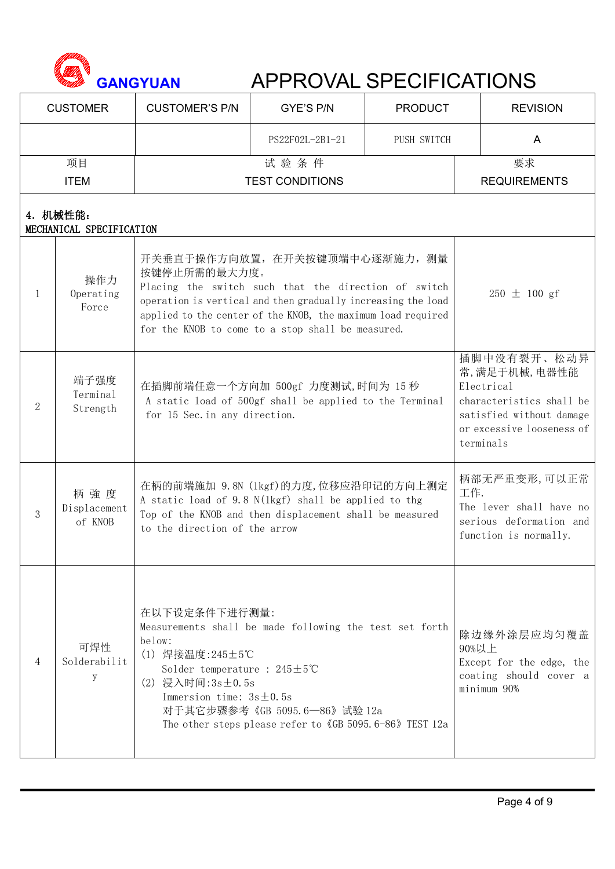

|              | <b>CUSTOMER</b>                      | <b>CUSTOMER'S P/N</b>                                                                                                                          | GYE'S P/N                                                                                                                                                                                                                                                                   | <b>PRODUCT</b>            |                  | <b>REVISION</b>                                                                                                                             |
|--------------|--------------------------------------|------------------------------------------------------------------------------------------------------------------------------------------------|-----------------------------------------------------------------------------------------------------------------------------------------------------------------------------------------------------------------------------------------------------------------------------|---------------------------|------------------|---------------------------------------------------------------------------------------------------------------------------------------------|
|              |                                      | PUSH SWITCH<br>PS22F02L-2B1-21                                                                                                                 |                                                                                                                                                                                                                                                                             |                           | $\mathsf{A}$     |                                                                                                                                             |
|              | 项目<br><b>ITEM</b>                    | <b>TEST CONDITIONS</b>                                                                                                                         |                                                                                                                                                                                                                                                                             | 要求<br><b>REQUIREMENTS</b> |                  |                                                                                                                                             |
|              | 4. 机械性能:<br>MECHANICAL SPECIFICATION |                                                                                                                                                |                                                                                                                                                                                                                                                                             |                           |                  |                                                                                                                                             |
| $\mathbf{1}$ | 操作力<br>Operating<br>Force            | 按键停止所需的最大力度。                                                                                                                                   | 开关垂直于操作方向放置, 在开关按键顶端中心逐渐施力, 测量<br>Placing the switch such that the direction of switch<br>operation is vertical and then gradually increasing the load<br>applied to the center of the KNOB, the maximum load required<br>for the KNOB to come to a stop shall be measured. |                           | $250 \pm 100$ gf |                                                                                                                                             |
| 2            | 端子强度<br>Terminal<br>Strength         | for 15 Sec. in any direction.                                                                                                                  | 在插脚前端任意一个方向加 500gf 力度测试,时间为 15秒<br>A static load of 500gf shall be applied to the Terminal                                                                                                                                                                                  |                           |                  | 插脚中没有裂开、松动异<br>常,满足于机械,电器性能<br>Electrical<br>characteristics shall be<br>satisfied without damage<br>or excessive looseness of<br>terminals |
| 3            | 柄強度<br>Displacement<br>of KNOB       | to the direction of the arrow                                                                                                                  | 在柄的前端施加 9.8N (1kgf)的力度,位移应沿印记的方向上测定<br>A static load of 9.8 N(1kgf) shall be applied to thg<br>Top of the KNOB and then displacement shall be measured                                                                                                                      |                           |                  | 柄部无严重变形,可以正常<br>工作.<br>The lever shall have no<br>serious deformation and<br>function is normally.                                          |
| 4            | 可焊性<br>Solderabilit<br>У             | 在以下设定条件下进行测量:<br>below:<br>(1) 焊接温度: 245±5℃<br>Solder temperature : $245 \pm 5^{\circ}$ C<br>(2) 浸入时间:3s±0.5s<br>Immersion time: $3s \pm 0.5s$ | Measurements shall be made following the test set forth<br>对于其它步骤参考《GB 5095.6—86》试验 12a<br>The other steps please refer to 《GB 5095.6-86》TEST 12a                                                                                                                           |                           |                  | 除边缘外涂层应均匀覆盖<br>90%以上<br>Except for the edge, the<br>coating should cover a<br>minimum 90%                                                   |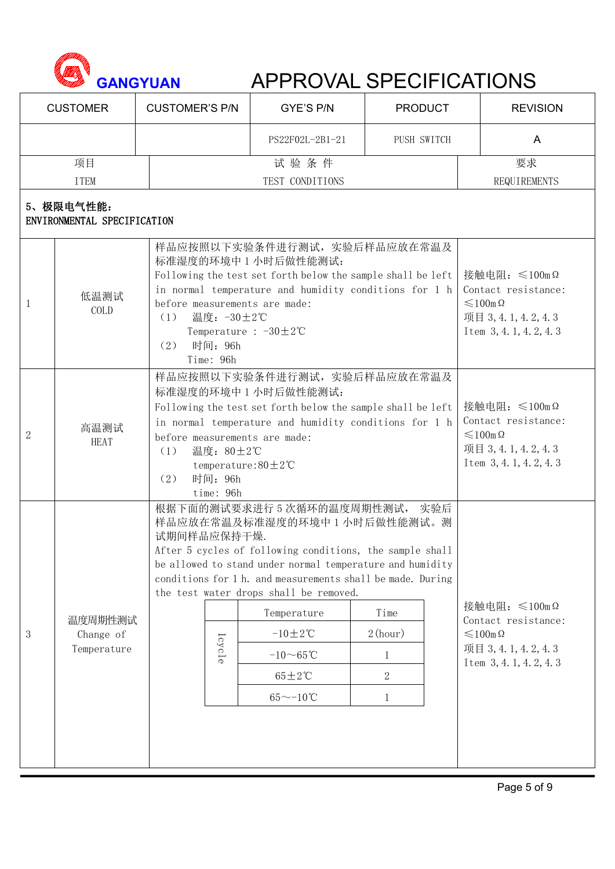

|                | <b>CUSTOMER</b>                                                                                                                                                                                                                                                                                                                                                                                                                                                                                                      | <b>CUSTOMER'S P/N</b>                                                                                                                                                                                                                            |                                                  | GYE'S P/N                                                                                                                  | <b>PRODUCT</b> | <b>REVISION</b>                                                                                      |
|----------------|----------------------------------------------------------------------------------------------------------------------------------------------------------------------------------------------------------------------------------------------------------------------------------------------------------------------------------------------------------------------------------------------------------------------------------------------------------------------------------------------------------------------|--------------------------------------------------------------------------------------------------------------------------------------------------------------------------------------------------------------------------------------------------|--------------------------------------------------|----------------------------------------------------------------------------------------------------------------------------|----------------|------------------------------------------------------------------------------------------------------|
|                |                                                                                                                                                                                                                                                                                                                                                                                                                                                                                                                      |                                                                                                                                                                                                                                                  |                                                  | PS22F02L-2B1-21                                                                                                            | PUSH SWITCH    | A                                                                                                    |
|                | 项目                                                                                                                                                                                                                                                                                                                                                                                                                                                                                                                   |                                                                                                                                                                                                                                                  |                                                  | 试验条件                                                                                                                       |                | 要求                                                                                                   |
|                | <b>ITEM</b>                                                                                                                                                                                                                                                                                                                                                                                                                                                                                                          |                                                                                                                                                                                                                                                  |                                                  | TEST CONDITIONS                                                                                                            |                | REQUIREMENTS                                                                                         |
|                | 5、极限电气性能:<br>ENVIRONMENTAL SPECIFICATION                                                                                                                                                                                                                                                                                                                                                                                                                                                                             |                                                                                                                                                                                                                                                  |                                                  |                                                                                                                            |                |                                                                                                      |
| 1              | 低温测试<br>COLD                                                                                                                                                                                                                                                                                                                                                                                                                                                                                                         | 样品应按照以下实验条件进行测试, 实验后样品应放在常温及<br>标准湿度的环境中 1 小时后做性能测试:<br>Following the test set forth below the sample shall be left<br>in normal temperature and humidity conditions for 1 h<br>before measurements are made:<br>$(1)$ 温度: −30±2℃<br>(2) 时间: 96h | Temperature : $-30 \pm 2^{\circ}$ C<br>Time: 96h | 接触电阻: $\leq 100$ mΩ<br>Contact resistance:<br>$\leqslant$ 100m $\Omega$<br>项目 3, 4. 1, 4. 2, 4. 3<br>Item 3, 4.1, 4.2, 4.3 |                |                                                                                                      |
| $\overline{2}$ | 样品应按照以下实验条件进行测试, 实验后样品应放在常温及<br>标准湿度的环境中 1 小时后做性能测试:<br>Following the test set forth below the sample shall be left<br>in normal temperature and humidity conditions for 1 h<br>高温测试<br>before measurements are made:<br><b>HEAT</b><br>温度: 80±2℃<br>(1)<br>temperature: $80 \pm 2^{\circ}$ C<br>时间: 96h<br>(2)<br>time: 96h                                                                                                                                                                                         |                                                                                                                                                                                                                                                  |                                                  |                                                                                                                            |                | 接触电阻: ≤100mΩ<br>Contact resistance:<br>$≤100$ m Ω<br>项目 3, 4. 1, 4. 2, 4. 3<br>Item 3, 4.1, 4.2, 4.3 |
| 3              | 根据下面的测试要求进行5次循环的温度周期性测试, 实验后<br>样品应放在常温及标准湿度的环境中 1 小时后做性能测试。测<br>试期间样品应保持干燥.<br>After 5 cycles of following conditions, the sample shall<br>be allowed to stand under normal temperature and humidity<br>conditions for 1 h. and measurements shall be made. During<br>the test water drops shall be removed.<br>Temperature<br>Time<br>温度周期性测试<br>$-10 \pm 2$ °C<br>2(hour)<br>Change of<br>lcycle<br>Temperature<br>$-10\sim65\degree C$<br>$65 \pm 2^{\circ}$ C<br>2<br>$65^{\sim} - 10^{\circ}C$<br>$\mathbf{1}$ |                                                                                                                                                                                                                                                  |                                                  |                                                                                                                            |                | 接触电阻: ≤100mΩ<br>Contact resistance:<br>$≤100$ m Ω<br>项目 3, 4. 1, 4. 2, 4. 3<br>Item 3, 4.1, 4.2, 4.3 |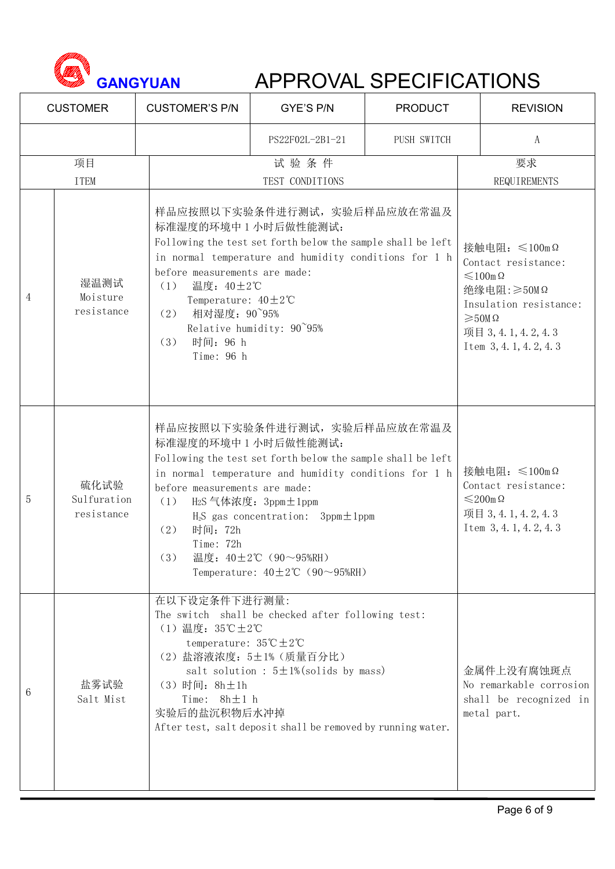

|                | <b>CUSTOMER</b>                   | <b>CUSTOMER'S P/N</b>                                                                                                                                               | GYE'S P/N                                                                                                                                                                                                                                                          | <b>PRODUCT</b> | <b>REVISION</b>                                                                                                                                                                         |
|----------------|-----------------------------------|---------------------------------------------------------------------------------------------------------------------------------------------------------------------|--------------------------------------------------------------------------------------------------------------------------------------------------------------------------------------------------------------------------------------------------------------------|----------------|-----------------------------------------------------------------------------------------------------------------------------------------------------------------------------------------|
|                |                                   |                                                                                                                                                                     | PS22F02L-2B1-21                                                                                                                                                                                                                                                    | PUSH SWITCH    | A                                                                                                                                                                                       |
|                | 项目                                |                                                                                                                                                                     | 试验条件                                                                                                                                                                                                                                                               |                | 要求                                                                                                                                                                                      |
|                | <b>ITEM</b>                       |                                                                                                                                                                     | TEST CONDITIONS                                                                                                                                                                                                                                                    |                | REQUIREMENTS                                                                                                                                                                            |
| $\overline{4}$ | 湿温测试<br>Moisture<br>resistance    | 标准湿度的环境中 1 小时后做性能测试:<br>before measurements are made:<br>温度: 40±2℃<br>(1)<br>Temperature: $40 \pm 2^{\circ}$ C<br>(2) 相对湿度: 90~95%<br>时间: 96 h<br>(3)<br>Time: 96 h | 样品应按照以下实验条件进行测试, 实验后样品应放在常温及<br>Following the test set forth below the sample shall be left<br>in normal temperature and humidity conditions for 1 h<br>Relative humidity: 90~95%                                                                                  |                | 接触电阻: ≤100mΩ<br>Contact resistance:<br>$\leqslant$ 100m $\Omega$<br>绝缘电阻:≥50MΩ<br>Insulation resistance:<br>$\geqslant$ 50M $\Omega$<br>项目 3, 4. 1, 4. 2, 4. 3<br>Item 3, 4.1, 4.2, 4.3 |
| 5              | 硫化试验<br>Sulfuration<br>resistance | 标准湿度的环境中1小时后做性能测试:<br>before measurements are made:<br>(1) H2S 气体浓度: 3ppm±1ppm<br>时间: 72h<br>(2)<br>Time: 72h<br>(3)                                                | 样品应按照以下实验条件进行测试, 实验后样品应放在常温及<br>Following the test set forth below the sample shall be left<br>in normal temperature and humidity conditions for 1 h<br>$H_2S$ gas concentration: $3ppm \pm 1ppm$<br>温度: 40±2℃ (90~95%RH)<br>Temperature: $40 \pm 2$ °C (90~95%RH) |                | 接触电阻: $\leq 100$ mΩ<br>Contact resistance:<br>$≤$ 200mΩ<br>项目 3, 4. 1, 4. 2, 4. 3<br>Item 3, 4. 1, 4. 2, 4. 3                                                                           |
| 6              | 盐雾试验<br>Salt Mist                 | 在以下设定条件下进行测量:<br>$(1)$ 温度: 35℃±2℃<br>temperature: $35^{\circ}\text{C} \pm 2^{\circ}\text{C}$<br>(3) 时间: 8h±1h<br>Time: $8h \pm 1 h$<br>实验后的盐沉积物后水冲掉                 | The switch shall be checked after following test:<br>(2) 盐溶液浓度: 5±1% (质量百分比)<br>salt solution : $5 \pm 1\%$ (solids by mass)<br>After test, salt deposit shall be removed by running water.                                                                        |                | 金属件上没有腐蚀斑点<br>No remarkable corrosion<br>shall be recognized in<br>metal part.                                                                                                          |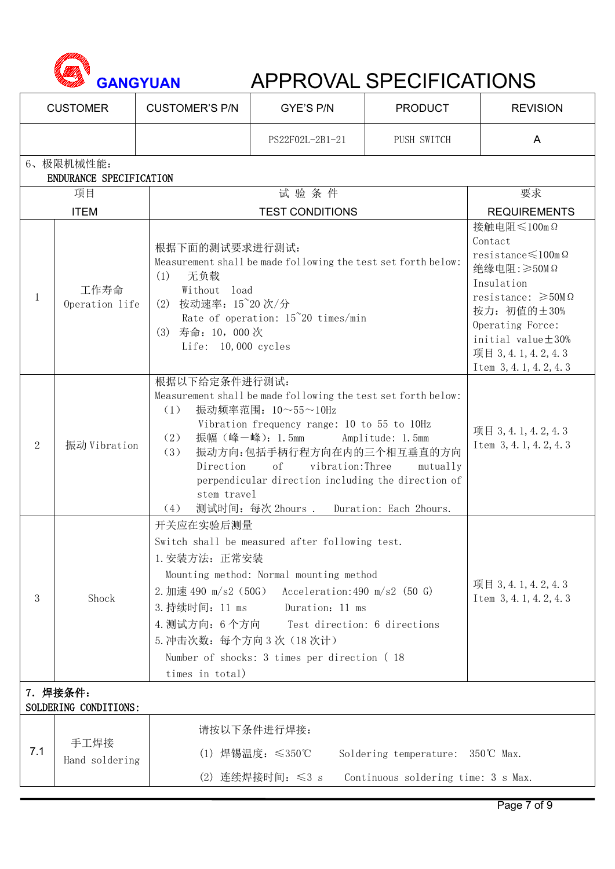

|                | <b>CUSTOMER</b>                      | <b>CUSTOMER'S P/N</b>                                                                                                                                                                                                           | GYE'S P/N                                                                                                                                                                                                                                                                                                                                                                     | <b>PRODUCT</b>                                                          | <b>REVISION</b>     |  |
|----------------|--------------------------------------|---------------------------------------------------------------------------------------------------------------------------------------------------------------------------------------------------------------------------------|-------------------------------------------------------------------------------------------------------------------------------------------------------------------------------------------------------------------------------------------------------------------------------------------------------------------------------------------------------------------------------|-------------------------------------------------------------------------|---------------------|--|
|                |                                      |                                                                                                                                                                                                                                 | PS22F02L-2B1-21                                                                                                                                                                                                                                                                                                                                                               | PUSH SWITCH                                                             | A                   |  |
|                | 6、极限机械性能:<br>ENDURANCE SPECIFICATION |                                                                                                                                                                                                                                 |                                                                                                                                                                                                                                                                                                                                                                               |                                                                         |                     |  |
|                | 项目                                   |                                                                                                                                                                                                                                 | 试验条件                                                                                                                                                                                                                                                                                                                                                                          |                                                                         | 要求                  |  |
|                | <b>ITEM</b>                          |                                                                                                                                                                                                                                 | <b>TEST CONDITIONS</b>                                                                                                                                                                                                                                                                                                                                                        |                                                                         | <b>REQUIREMENTS</b> |  |
|                | 工作寿命<br>Operation life               | 根据下面的测试要求进行测试:<br>Measurement shall be made following the test set forth below:<br>无负载<br>(1)<br>Without load<br>(2) 按动速率: 15~20次/分<br>Rate of operation: $15^{\circ}20$ times/min<br>(3) 寿命: 10, 000次<br>Life: $10,000$ cycles | 接触电阻≤100mΩ<br>Contact<br>$resistance \leq 100$ m $\Omega$<br>绝缘电阻:≥50MΩ<br>Insulation<br>resistance: $\geq 50M\Omega$<br>按力: 初值的士30%<br>Operating Force:<br>initial value $\pm 30\%$<br>项目 3, 4. 1, 4. 2, 4. 3<br>Item 3, 4.1, 4.2, 4.3                                                                                                                                       |                                                                         |                     |  |
| $\overline{2}$ | 振动 Vibration                         | (1)<br>(2)<br>(3)<br>Direction<br>(4)                                                                                                                                                                                           | 根据以下给定条件进行测试:<br>Measurement shall be made following the test set forth below:<br>振动频率范围: 10~55~10Hz<br>Vibration frequency range: 10 to 55 to 10Hz<br>振幅 (峰一峰): 1.5mm<br>Amplitude: 1.5mm<br>振动方向:包括手柄行程方向在内的三个相互垂直的方向<br>of<br>vibration:Three<br>mutually<br>perpendicular direction including the direction of<br>stem travel<br>测试时间: 每次 2hours . Duration: Each 2hours. |                                                                         |                     |  |
| 3              | Shock                                | times in total)                                                                                                                                                                                                                 | 开关应在实验后测量<br>Switch shall be measured after following test.<br>1. 安装方法: 正常安装<br>Mounting method: Normal mounting method<br>2. 加速 490 m/s2 (50G)<br>Acceleration: 490 m/s2 $(50 \text{ G})$<br>3. 持续时间: 11 ms<br>Duration: 11 ms<br>4. 测试方向: 6个方向<br>Test direction: 6 directions<br>5. 冲击次数: 每个方向 3次 (18次计)<br>Number of shocks: 3 times per direction (18)                   |                                                                         |                     |  |
|                | 7. 焊接条件:<br>SOLDERING CONDITIONS:    |                                                                                                                                                                                                                                 |                                                                                                                                                                                                                                                                                                                                                                               |                                                                         |                     |  |
| 7.1            | 手工焊接<br>Hand soldering               |                                                                                                                                                                                                                                 | 请按以下条件进行焊接:<br>(1) 焊锡温度: ≤350℃<br>$(2)$ 连续焊接时间: $\leq 3$ s                                                                                                                                                                                                                                                                                                                    | Soldering temperature: 350℃ Max.<br>Continuous soldering time: 3 s Max. |                     |  |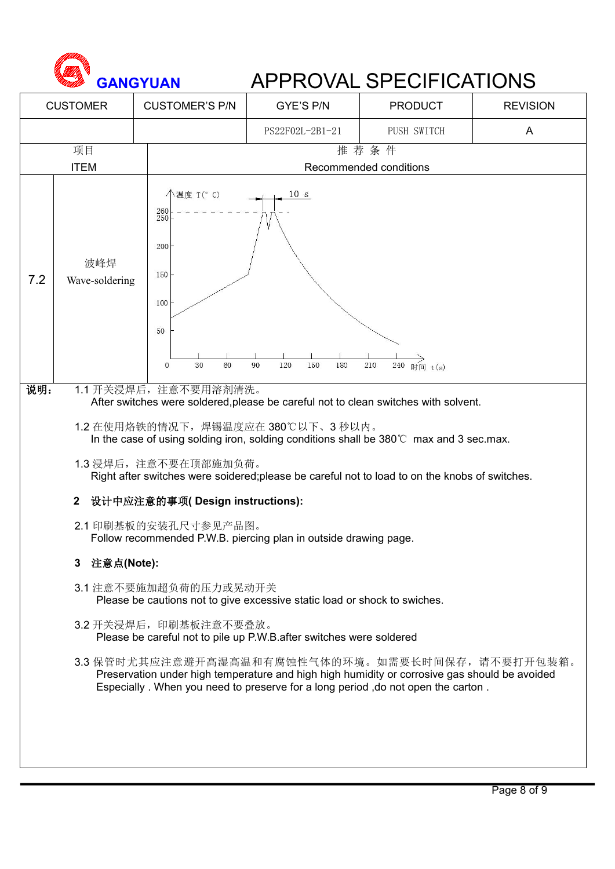

| PS22F02L-2B1-21<br>PUSH SWITCH<br>$\mathsf{A}$<br>推荐条件<br>项目<br><b>ITEM</b><br>Recommended conditions<br><b>个温度 T(° C)</b><br>10 s<br>$^{260}_{250}$<br>200<br>波峰焊<br>150<br>7.2<br>Wave-soldering<br>100<br>50<br>$\overrightarrow{240}$ 时间 $t(s)$<br>$\mathbf{0}$<br>30<br>60<br>90<br>120<br>150<br>180<br>210<br>说明:<br>1.1 开关浸焊后, 注意不要用溶剂清洗。<br>After switches were soldered, please be careful not to clean switches with solvent.<br>1.2 在使用烙铁的情况下,焊锡温度应在380℃以下、3秒以内。<br>In the case of using solding iron, solding conditions shall be 380°C max and 3 sec.max.<br>1.3 浸焊后, 注意不要在顶部施加负荷。<br>Right after switches were soidered;please be careful not to load to on the knobs of switches.<br>设计中应注意的事项(Design instructions):<br>$\mathbf{2}$<br>2.1 印刷基板的安装孔尺寸参见产品图。<br>Follow recommended P.W.B. piercing plan in outside drawing page.<br>注意点(Note):<br>3.<br>3.1 注意不要施加超负荷的压力或晃动开关<br>Please be cautions not to give excessive static load or shock to swiches.<br>3.2 开关浸焊后, 印刷基板注意不要叠放。<br>Please be careful not to pile up P.W.B. after switches were soldered<br>3.3 保管时尤其应注意避开高湿高温和有腐蚀性气体的环境。如需要长时间保存,请不要打开包装箱。<br>Preservation under high temperature and high high humidity or corrosive gas should be avoided<br>Especially . When you need to preserve for a long period , do not open the carton. | <b>CUSTOMER</b> |  | <b>CUSTOMER'S P/N</b> | GYE'S P/N | <b>PRODUCT</b> | <b>REVISION</b> |  |  |  |  |
|------------------------------------------------------------------------------------------------------------------------------------------------------------------------------------------------------------------------------------------------------------------------------------------------------------------------------------------------------------------------------------------------------------------------------------------------------------------------------------------------------------------------------------------------------------------------------------------------------------------------------------------------------------------------------------------------------------------------------------------------------------------------------------------------------------------------------------------------------------------------------------------------------------------------------------------------------------------------------------------------------------------------------------------------------------------------------------------------------------------------------------------------------------------------------------------------------------------------------------------------------------------------------------------------------------------------|-----------------|--|-----------------------|-----------|----------------|-----------------|--|--|--|--|
|                                                                                                                                                                                                                                                                                                                                                                                                                                                                                                                                                                                                                                                                                                                                                                                                                                                                                                                                                                                                                                                                                                                                                                                                                                                                                                                        |                 |  |                       |           |                |                 |  |  |  |  |
|                                                                                                                                                                                                                                                                                                                                                                                                                                                                                                                                                                                                                                                                                                                                                                                                                                                                                                                                                                                                                                                                                                                                                                                                                                                                                                                        |                 |  |                       |           |                |                 |  |  |  |  |
|                                                                                                                                                                                                                                                                                                                                                                                                                                                                                                                                                                                                                                                                                                                                                                                                                                                                                                                                                                                                                                                                                                                                                                                                                                                                                                                        |                 |  |                       |           |                |                 |  |  |  |  |
|                                                                                                                                                                                                                                                                                                                                                                                                                                                                                                                                                                                                                                                                                                                                                                                                                                                                                                                                                                                                                                                                                                                                                                                                                                                                                                                        |                 |  |                       |           |                |                 |  |  |  |  |